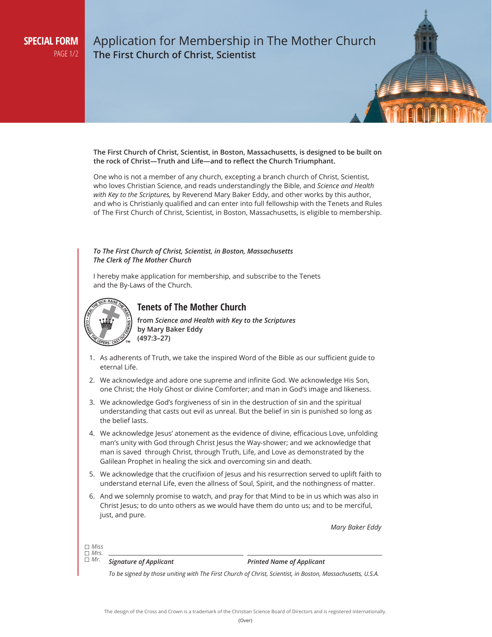Application for Membership in The Mother Church **The First Church of Christ, Scientist**

**The First Church of Christ, Scientist, in Boston, Massachusetts, is designed to be built on the rock of Christ—Truth and Life—and to reflect the Church Triumphant.** 

One who is not a member of any church, excepting a branch church of Christ, Scientist, who loves Christian Science, and reads understandingly the Bible, and *Science and Health with Key to the Scriptures,* by Reverend Mary Baker Eddy, and other works by this author, and who is Christianly qualified and can enter into full fellowship with the Tenets and Rules of The First Church of Christ, Scientist, in Boston, Massachusetts, is eligible to membership.

## *To The First Church of Christ, Scientist, in Boston, Massachusetts The Clerk of The Mother Church*

I hereby make application for membership, and subscribe to the Tenets and the By-Laws of the Church.



## **Tenets of The Mother Church**

**from** *Science and Health with Key to the Scriptures* **by Mary Baker Eddy (497:3–27)**

- 1. As adherents of Truth, we take the inspired Word of the Bible as our sufficient guide to eternal Life.
- 2. We acknowledge and adore one supreme and infinite God. We acknowledge His Son, one Christ; the Holy Ghost or divine Comforter; and man in God's image and likeness.
- 3. We acknowledge God's forgiveness of sin in the destruction of sin and the spiritual understanding that casts out evil as unreal. But the belief in sin is punished so long as the belief lasts.
- 4. We acknowledge Jesus' atonement as the evidence of divine, efficacious Love, unfolding man's unity with God through Christ Jesus the Way-shower; and we acknowledge that man is saved through Christ, through Truth, Life, and Love as demonstrated by the Galilean Prophet in healing the sick and overcoming sin and death.
- 5. We acknowledge that the crucifixion of Jesus and his resurrection served to uplift faith to understand eternal Life, even the allness of Soul, Spirit, and the nothingness of matter.
- 6. And we solemnly promise to watch, and pray for that Mind to be in us which was also in Christ Jesus; to do unto others as we would have them do unto us; and to be merciful, just, and pure.

*Mary Baker Eddy*

*Miss Mrs.* 

 $\Box$  *Mr.* 

*Signature of Applicant Printed Name of Applicant*

*To be signed by those uniting with The First Church of Christ, Scientist, in Boston, Massachusetts, U.S.A.*